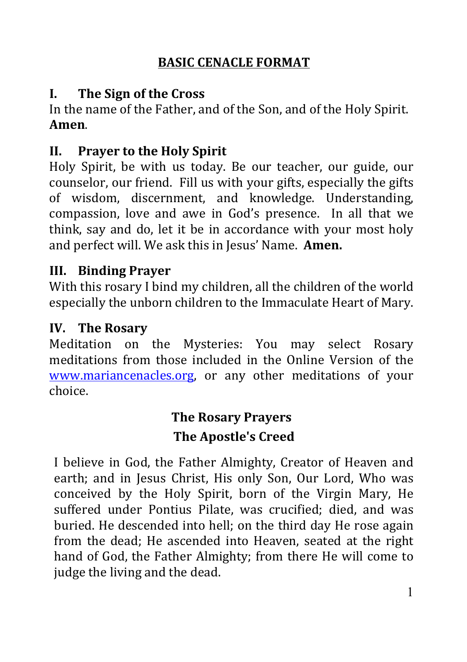## **BASIC CENACLE FORMAT**

## **I.** The Sign of the Cross

In the name of the Father, and of the Son, and of the Holy Spirit. **Amen**.

## **II.** Prayer to the Holy Spirit

Holy Spirit, be with us today. Be our teacher, our guide, our counselor, our friend. Fill us with your gifts, especially the gifts of wisdom, discernment, and knowledge. Understanding, compassion, love and awe in God's presence. In all that we think, say and do, let it be in accordance with your most holy and perfect will. We ask this in Jesus' Name. **Amen.** 

#### **III. Binding Prayer**

With this rosary I bind my children, all the children of the world especially the unborn children to the Immaculate Heart of Mary.

#### **IV. The Rosary**

Meditation on the Mysteries: You may select Rosary meditations from those included in the Online Version of the www.mariancenacles.org, or any other meditations of your choice.

# **The Rosary Prayers The Apostle's Creed**

I believe in God, the Father Almighty, Creator of Heaven and earth; and in Jesus Christ, His only Son, Our Lord, Who was conceived by the Holy Spirit, born of the Virgin Mary, He suffered under Pontius Pilate, was crucified; died, and was buried. He descended into hell; on the third day He rose again from the dead; He ascended into Heaven, seated at the right hand of God, the Father Almighty; from there He will come to judge the living and the dead.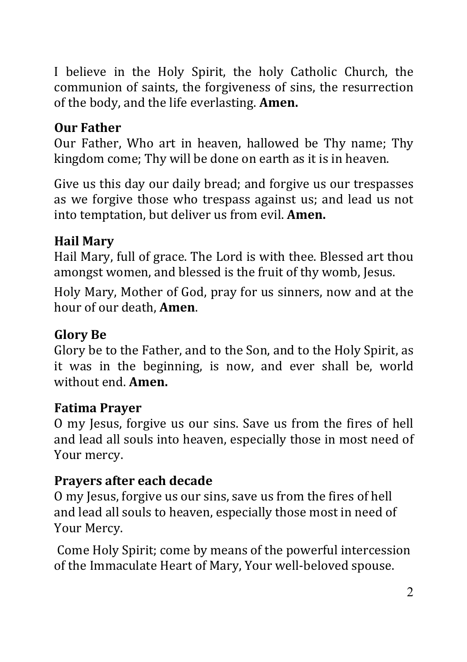I believe in the Holy Spirit, the holy Catholic Church, the communion of saints, the forgiveness of sins, the resurrection of the body, and the life everlasting. **Amen.** 

#### **Our Father**

Our Father, Who art in heaven, hallowed be Thy name; Thy kingdom come; Thy will be done on earth as it is in heaven.

Give us this day our daily bread; and forgive us our trespasses as we forgive those who trespass against us; and lead us not into temptation, but deliver us from evil. Amen.

#### **Hail Mary**

Hail Mary, full of grace. The Lord is with thee. Blessed art thou amongst women, and blessed is the fruit of thy womb, Jesus.

Holy Mary, Mother of God, pray for us sinners, now and at the hour of our death, **Amen**.

#### **Glory Be**

Glory be to the Father, and to the Son, and to the Holy Spirit, as it was in the beginning, is now, and ever shall be, world without end. **Amen**.

#### **Fatima Prayer**

O my Jesus, forgive us our sins. Save us from the fires of hell and lead all souls into heaven, especially those in most need of Your mercy.

#### **Prayers after each decade**

O my Jesus, forgive us our sins, save us from the fires of hell and lead all souls to heaven, especially those most in need of Your Mercy.

Come Holy Spirit; come by means of the powerful intercession of the Immaculate Heart of Mary, Your well-beloved spouse.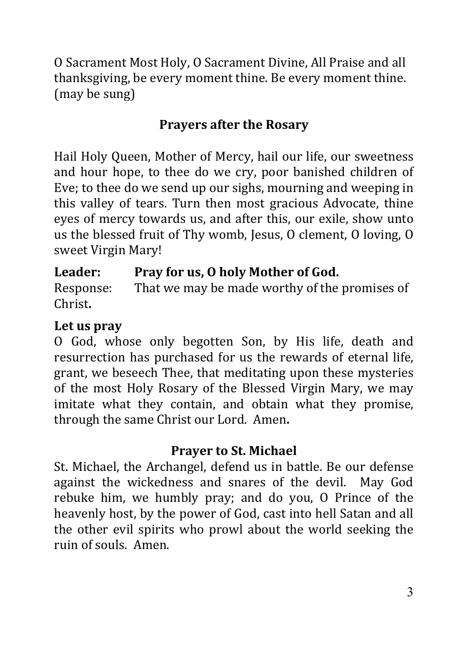O Sacrament Most Holy, O Sacrament Divine, All Praise and all thanksgiving, be every moment thine. Be every moment thine. (may be sung)

# **Prayers after the Rosary**

Hail Holy Oueen, Mother of Mercy, hail our life, our sweetness and hour hope, to thee do we cry, poor banished children of Eve; to thee do we send up our sighs, mourning and weeping in this valley of tears. Turn then most gracious Advocate, thine eyes of mercy towards us, and after this, our exile, show unto us the blessed fruit of Thy womb, Jesus, O clement, O loving, O sweet Virgin Mary!

## Leader: Pray for us, 0 holy Mother of God.

Response: That we may be made worthy of the promises of Christ**.**

# Let us pray

O God, whose only begotten Son, by His life, death and resurrection has purchased for us the rewards of eternal life, grant, we beseech Thee, that meditating upon these mysteries of the most Holy Rosary of the Blessed Virgin Mary, we may imitate what they contain, and obtain what they promise, through the same Christ our Lord. Amen.

#### **Prayer to St. Michael**

St. Michael, the Archangel, defend us in battle. Be our defense against the wickedness and snares of the devil. May God rebuke him, we humbly pray; and do you,  $0$  Prince of the heavenly host, by the power of God, cast into hell Satan and all the other evil spirits who prowl about the world seeking the ruin of souls. Amen.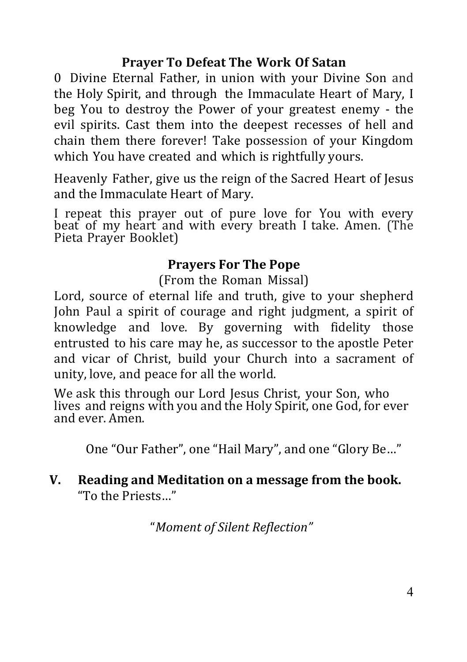#### **Prayer To Defeat The Work Of Satan**

0 Divine Eternal Father, in union with your Divine Son and the Holy Spirit, and through the Immaculate Heart of Mary, I beg You to destroy the Power of your greatest enemy - the evil spirits. Cast them into the deepest recesses of hell and chain them there forever! Take possession of your Kingdom which You have created and which is rightfully yours.

Heavenly Father, give us the reign of the Sacred Heart of Jesus and the Immaculate Heart of Mary.

I repeat this prayer out of pure love for You with every<br>beat of my heart and with every breath I take. Amen. (The Pieta Prayer Booklet)

## **Prayers For The Pope**

(From the Roman Missal)

Lord, source of eternal life and truth, give to your shepherd John Paul a spirit of courage and right judgment, a spirit of knowledge and love. By governing with fidelity those entrusted to his care may he, as successor to the apostle Peter and vicar of Christ, build your Church into a sacrament of unity, love, and peace for all the world.

We ask this through our Lord Jesus Christ, your Son, who lives and reigns with you and the Holy Spirit, one God, for ever and ever. Amen.

One "Our Father", one "Hail Mary", and one "Glory Be..."

**V.** Reading and Meditation on a message from the book. "To the Priests…"

"*Moment of Silent Reflection"*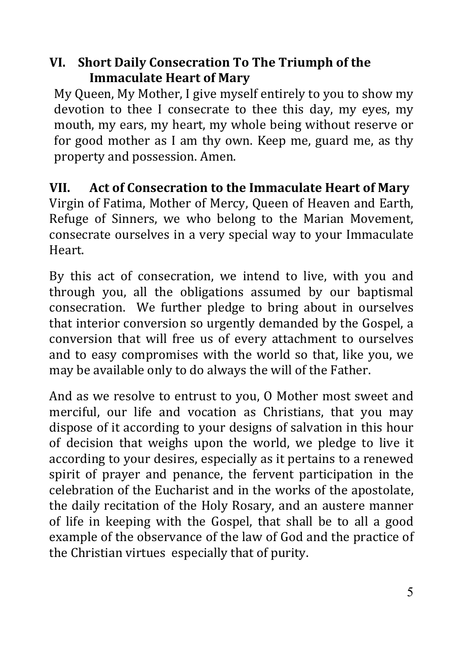## **VI.** Short Daily Consecration To The Triumph of the **Immaculate Heart of Mary**

My Queen, My Mother, I give myself entirely to you to show my devotion to thee I consecrate to thee this day, my eyes, my mouth, my ears, my heart, my whole being without reserve or for good mother as I am thy own. Keep me, guard me, as thy property and possession. Amen.

## **VII. Act of Consecration to the Immaculate Heart of Mary**

Virgin of Fatima, Mother of Mercy, Queen of Heaven and Earth, Refuge of Sinners, we who belong to the Marian Movement, consecrate ourselves in a very special way to your Immaculate Heart.

By this act of consecration, we intend to live, with you and through you, all the obligations assumed by our baptismal consecration. We further pledge to bring about in ourselves that interior conversion so urgently demanded by the Gospel, a conversion that will free us of every attachment to ourselves and to easy compromises with the world so that, like you, we may be available only to do always the will of the Father.

And as we resolve to entrust to you, O Mother most sweet and merciful, our life and vocation as Christians, that you may dispose of it according to your designs of salvation in this hour of decision that weighs upon the world, we pledge to live it according to your desires, especially as it pertains to a renewed spirit of prayer and penance, the fervent participation in the celebration of the Eucharist and in the works of the apostolate, the daily recitation of the Holy Rosary, and an austere manner of life in keeping with the Gospel, that shall be to all a good example of the observance of the law of God and the practice of the Christian virtues especially that of purity.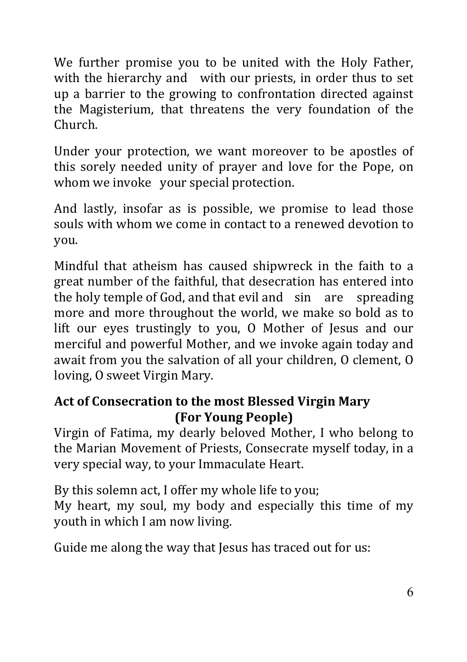We further promise you to be united with the Holy Father, with the hierarchy and with our priests, in order thus to set up a barrier to the growing to confrontation directed against the Magisterium, that threatens the very foundation of the Church.

Under your protection, we want moreover to be apostles of this sorely needed unity of prayer and love for the Pope, on whom we invoke your special protection.

And lastly, insofar as is possible, we promise to lead those souls with whom we come in contact to a renewed devotion to you.

Mindful that atheism has caused shipwreck in the faith to a great number of the faithful, that desecration has entered into the holy temple of God, and that evil and sin are spreading more and more throughout the world, we make so bold as to lift our eyes trustingly to you,  $0$  Mother of Jesus and our merciful and powerful Mother, and we invoke again today and await from you the salvation of all your children, O clement, O loving, O sweet Virgin Mary.

## Act of Consecration to the most Blessed Virgin Mary **(For Young People)**

Virgin of Fatima, my dearly beloved Mother. I who belong to the Marian Movement of Priests, Consecrate myself today, in a very special way, to your Immaculate Heart.

By this solemn act, I offer my whole life to you; My heart, my soul, my body and especially this time of my vouth in which I am now living.

Guide me along the way that Jesus has traced out for us: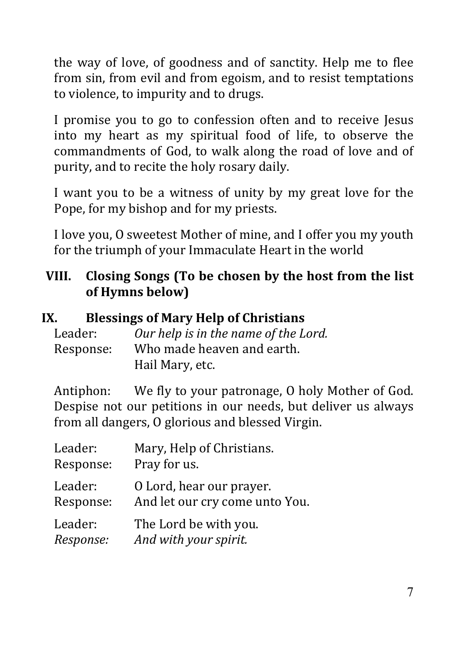the way of love, of goodness and of sanctity. Help me to flee from sin, from evil and from egoism, and to resist temptations to violence, to impurity and to drugs.

I promise you to go to confession often and to receive Jesus into my heart as my spiritual food of life, to observe the commandments of God, to walk along the road of love and of purity, and to recite the holy rosary daily.

I want you to be a witness of unity by my great love for the Pope, for my bishop and for my priests.

I love you, O sweetest Mother of mine, and I offer you my youth for the triumph of your Immaculate Heart in the world

#### **VIII.** Closing Songs (To be chosen by the host from the list **of Hymns below)**

#### **IX. Blessings of Mary Help of Christians**

| Leader:   | Our help is in the name of the Lord. |
|-----------|--------------------------------------|
| Response: | Who made heaven and earth.           |
|           | Hail Mary, etc.                      |

Antiphon: We fly to your patronage, O holy Mother of God. Despise not our petitions in our needs, but deliver us always from all dangers, O glorious and blessed Virgin.

| Leader:   | Mary, Help of Christians.      |
|-----------|--------------------------------|
| Response: | Pray for us.                   |
| Leader:   | O Lord, hear our prayer.       |
| Response: | And let our cry come unto You. |
| Leader:   | The Lord be with you.          |
| Response: | And with your spirit.          |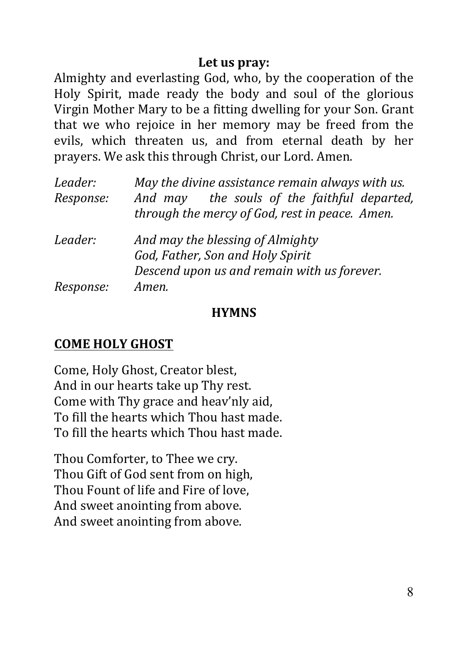#### Let us pray:

Almighty and everlasting God, who, by the cooperation of the Holy Spirit, made ready the body and soul of the glorious Virgin Mother Mary to be a fitting dwelling for your Son. Grant that we who rejoice in her memory may be freed from the evils, which threaten us, and from eternal death by her prayers. We ask this through Christ, our Lord. Amen.

| Leader:<br>Response: | May the divine assistance remain always with us.<br>the souls of the faithful departed,<br>And may<br>through the mercy of God, rest in peace. Amen. |
|----------------------|------------------------------------------------------------------------------------------------------------------------------------------------------|
| Leader:              | And may the blessing of Almighty<br>God, Father, Son and Holy Spirit<br>Descend upon us and remain with us forever.                                  |
| Response:            | Amen.                                                                                                                                                |

#### **HYMNS**

#### **COME HOLY GHOST**

Come, Holy Ghost, Creator blest, And in our hearts take up Thy rest. Come with Thy grace and heav'nly aid, To fill the hearts which Thou hast made. To fill the hearts which Thou hast made.

Thou Comforter, to Thee we cry. Thou Gift of God sent from on high, Thou Fount of life and Fire of love. And sweet anointing from above. And sweet anointing from above.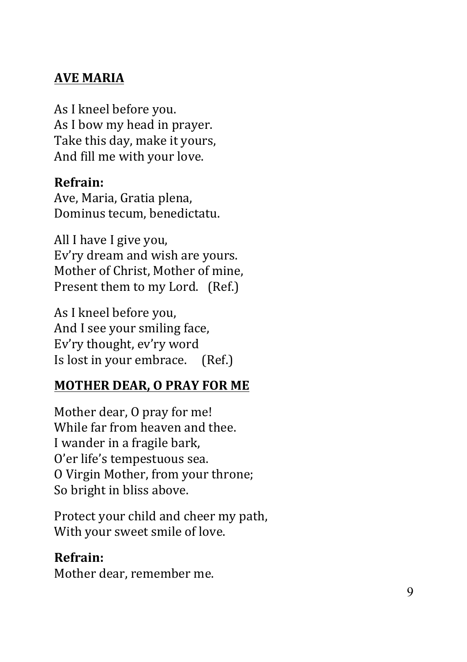## **AVE MARIA**

As I kneel before you. As I bow my head in prayer. Take this day, make it yours, And fill me with your love.

#### **Refrain:**

Ave, Maria, Gratia plena, Dominus tecum, benedictatu.

All I have I give you, Ev'ry dream and wish are yours. Mother of Christ, Mother of mine, Present them to my Lord. (Ref.)

As I kneel before you, And I see your smiling face, Ev'ry thought, ev'ry word Is lost in your embrace. (Ref.)

## **MOTHER DEAR, O PRAY FOR ME**

Mother dear, 0 pray for me! While far from heaven and thee. I wander in a fragile bark, O'er life's tempestuous sea. O Virgin Mother, from your throne; So bright in bliss above.

Protect your child and cheer my path, With your sweet smile of love.

#### **Refrain:**

Mother dear, remember me.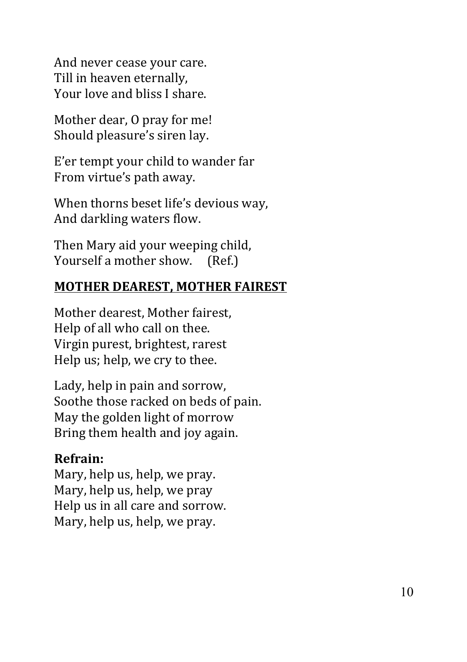And never cease your care. Till in heaven eternally, Your love and bliss I share.

Mother dear, O pray for me! Should pleasure's siren lay.

E'er tempt your child to wander far From virtue's path away.

When thorns beset life's devious way, And darkling waters flow.

Then Mary aid your weeping child, Yourself a mother show.  $(Ref.)$ 

## **MOTHER DEAREST, MOTHER FAIREST**

Mother dearest, Mother fairest, Help of all who call on thee. Virgin purest, brightest, rarest Help us; help, we cry to thee.

Lady, help in pain and sorrow, Soothe those racked on beds of pain. May the golden light of morrow Bring them health and joy again.

## **Refrain:**

Mary, help us, help, we pray. Mary, help us, help, we pray Help us in all care and sorrow. Mary, help us, help, we pray.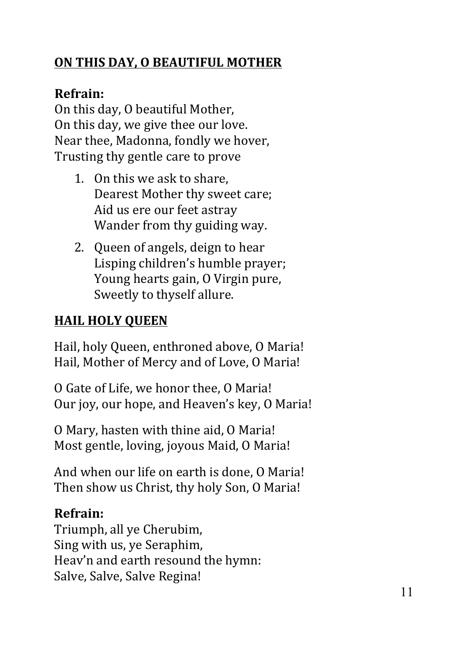# **ON THIS DAY, O BEAUTIFUL MOTHER**

## **Refrain:**

On this day, O beautiful Mother, On this day, we give thee our love. Near thee, Madonna, fondly we hover, Trusting thy gentle care to prove

- 1. On this we ask to share, Dearest Mother thy sweet care; Aid us ere our feet astray Wander from thy guiding way.
- 2. Oueen of angels, deign to hear Lisping children's humble prayer; Young hearts gain, O Virgin pure, Sweetly to thyself allure.

# **HAIL HOLY QUEEN**

Hail, holy Oueen, enthroned above, O Maria! Hail, Mother of Mercy and of Love, O Maria!

O Gate of Life, we honor thee, O Maria! Our joy, our hope, and Heaven's key, O Maria!

O Mary, hasten with thine aid, O Maria! Most gentle, loving, joyous Maid, O Maria!

And when our life on earth is done, O Maria! Then show us Christ, thy holy Son, O Maria!

## **Refrain:**

Triumph, all ye Cherubim, Sing with us, ye Seraphim, Heav'n and earth resound the hymn: Salve, Salve, Salve Regina!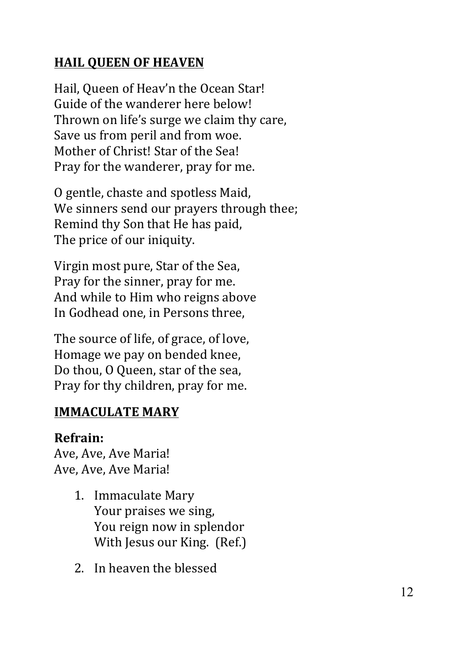# **HAIL QUEEN OF HEAVEN**

Hail, Queen of Heav'n the Ocean Star! Guide of the wanderer here below! Thrown on life's surge we claim thy care, Save us from peril and from woe. Mother of Christ! Star of the Sea! Pray for the wanderer, pray for me.

O gentle, chaste and spotless Maid, We sinners send our prayers through thee: Remind thy Son that He has paid, The price of our iniquity.

Virgin most pure, Star of the Sea, Pray for the sinner, pray for me. And while to Him who reigns above In Godhead one, in Persons three,

The source of life, of grace, of love. Homage we pay on bended knee. Do thou, O Queen, star of the sea, Pray for thy children, pray for me.

# **IMMACULATE MARY**

## **Refrain:**

Ave, Ave, Ave Maria! Ave, Ave, Ave Maria!

- 1. Immaculate Mary Your praises we sing. You reign now in splendor With Jesus our King. (Ref.)
- 2. In heaven the blessed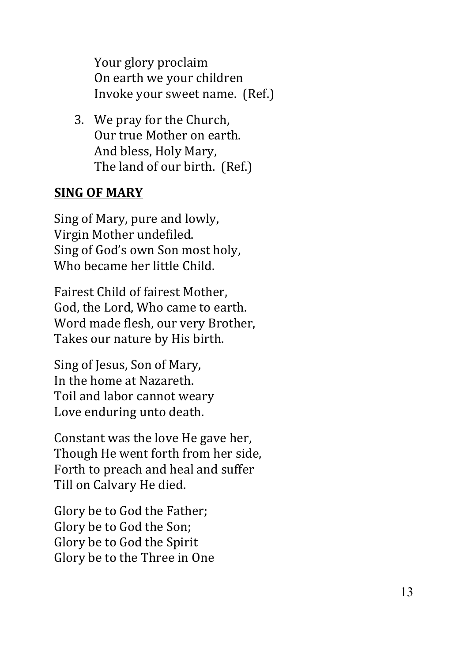Your glory proclaim On earth we your children Invoke your sweet name. (Ref.)

3. We pray for the Church, Our true Mother on earth. And bless, Holy Mary, The land of our birth. (Ref.)

## **SING OF MARY**

Sing of Mary, pure and lowly, Virgin Mother undefiled. Sing of God's own Son most holy. Who hecame her little Child

Fairest Child of fairest Mother. God, the Lord, Who came to earth. Word made flesh, our very Brother, Takes our nature by His birth.

Sing of Jesus, Son of Mary, In the home at Nazareth. Toil and labor cannot weary Love enduring unto death.

Constant was the love He gave her. Though He went forth from her side, Forth to preach and heal and suffer Till on Calvary He died.

Glory be to God the Father; Glory be to God the Son: Glory be to God the Spirit Glory be to the Three in One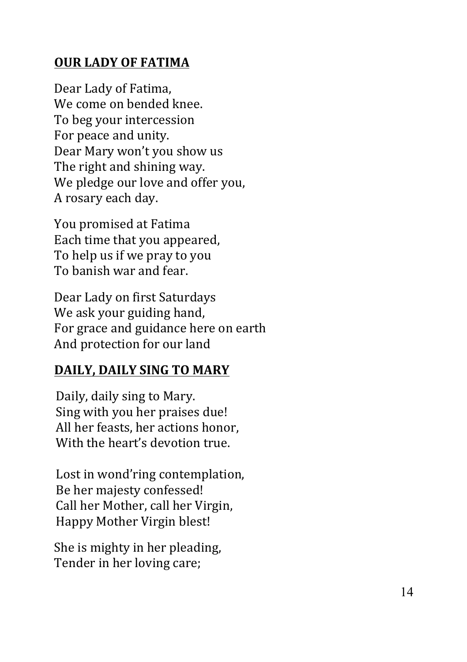#### **OUR LADY OF FATIMA**

Dear Lady of Fatima, We come on bended knee. To beg your intercession For peace and unity. Dear Mary won't you show us The right and shining way. We pledge our love and offer you, A rosary each day.

You promised at Fatima Each time that you appeared, To help us if we pray to you To banish war and fear.

Dear Lady on first Saturdays We ask your guiding hand, For grace and guidance here on earth And protection for our land

## **DAILY, DAILY SING TO MARY**

Daily, daily sing to Mary. Sing with you her praises due! All her feasts, her actions honor, With the heart's devotion true.

Lost in wond'ring contemplation, Be her majesty confessed! Call her Mother, call her Virgin, Happy Mother Virgin blest!

She is mighty in her pleading. Tender in her loving care;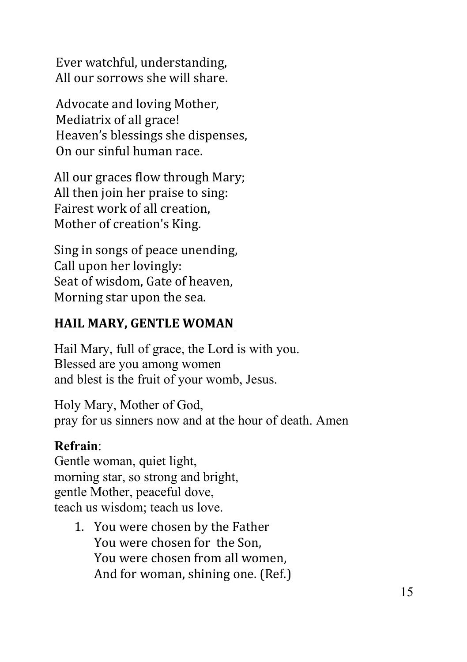Ever watchful, understanding. All our sorrows she will share.

Advocate and loving Mother, Mediatrix of all grace! Heaven's blessings she dispenses. On our sinful human race.

All our graces flow through Mary; All then join her praise to sing: Fairest work of all creation. Mother of creation's King.

Sing in songs of peace unending, Call upon her lovingly: Seat of wisdom, Gate of heaven, Morning star upon the sea.

## **HAIL MARY, GENTLE WOMAN**

Hail Mary, full of grace, the Lord is with you. Blessed are you among women and blest is the fruit of your womb, Jesus.

Holy Mary, Mother of God, pray for us sinners now and at the hour of death. Amen

## **Refrain**:

Gentle woman, quiet light, morning star, so strong and bright, gentle Mother, peaceful dove, teach us wisdom; teach us love.

> 1. You were chosen by the Father You were chosen for the Son. You were chosen from all women. And for woman, shining one. (Ref.)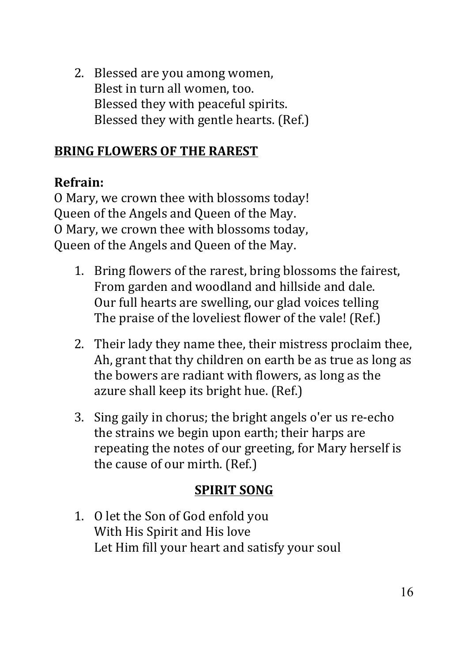2. Blessed are you among women, Blest in turn all women, too. Blessed they with peaceful spirits. Blessed they with gentle hearts. (Ref.)

## **BRING FLOWERS OF THE RAREST**

## **Refrain:**

O Mary, we crown thee with blossoms today! Queen of the Angels and Queen of the May. O Mary, we crown thee with blossoms today, Queen of the Angels and Queen of the May.

- 1. Bring flowers of the rarest, bring blossoms the fairest, From garden and woodland and hillside and dale. Our full hearts are swelling, our glad voices telling The praise of the loveliest flower of the vale! (Ref.)
- 2. Their lady they name thee, their mistress proclaim thee. Ah, grant that thy children on earth be as true as long as the bowers are radiant with flowers, as long as the azure shall keep its bright hue. (Ref.)
- 3. Sing gaily in chorus; the bright angels o'er us re-echo the strains we begin upon earth; their harps are repeating the notes of our greeting, for Mary herself is the cause of our mirth. (Ref.)

# **SPIRIT SONG**

1. O let the Son of God enfold you With His Spirit and His love Let Him fill your heart and satisfy your soul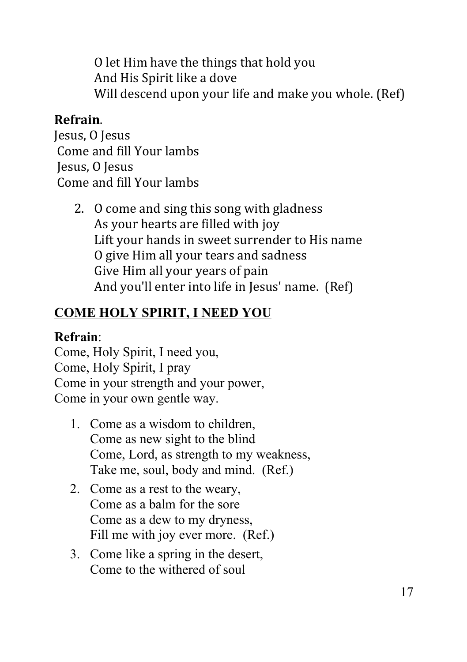O let Him have the things that hold you And His Spirit like a dove Will descend upon your life and make you whole. (Ref)

#### **Refrain**.

Jesus, O Jesus Come and fill Your lambs Jesus, O Jesus Come and fill Your lambs

> 2. O come and sing this song with gladness As your hearts are filled with joy Lift your hands in sweet surrender to His name O give Him all your tears and sadness Give Him all your years of pain And you'll enter into life in Jesus' name. (Ref)

## **COME HOLY SPIRIT, I NEED YOU**

#### **Refrain**:

Come, Holy Spirit, I need you, Come, Holy Spirit, I pray Come in your strength and your power, Come in your own gentle way.

- 1. Come as a wisdom to children, Come as new sight to the blind Come, Lord, as strength to my weakness, Take me, soul, body and mind. (Ref.)
- 2. Come as a rest to the weary, Come as a balm for the sore Come as a dew to my dryness, Fill me with joy ever more. (Ref.)
- 3. Come like a spring in the desert, Come to the withered of soul